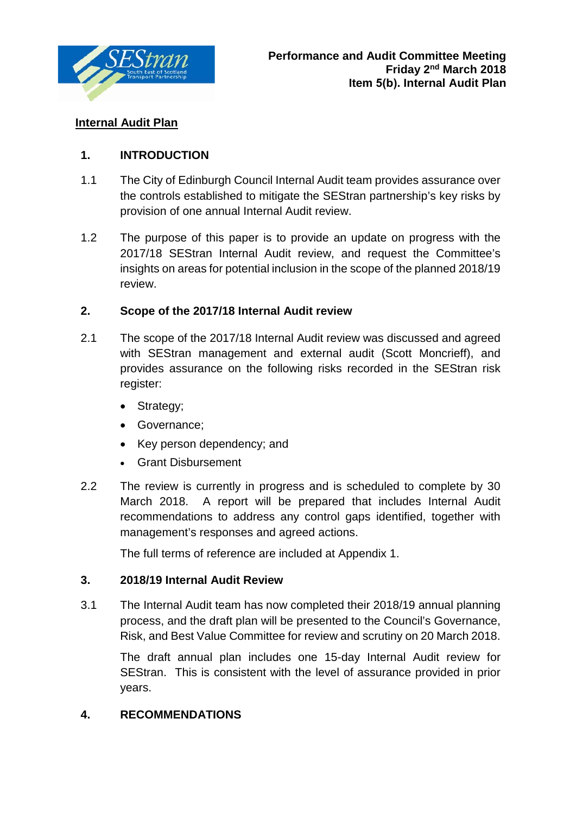

## **Internal Audit Plan**

## **1. INTRODUCTION**

- 1.1 The City of Edinburgh Council Internal Audit team provides assurance over the controls established to mitigate the SEStran partnership's key risks by provision of one annual Internal Audit review.
- 1.2 The purpose of this paper is to provide an update on progress with the 2017/18 SEStran Internal Audit review, and request the Committee's insights on areas for potential inclusion in the scope of the planned 2018/19 review.

### **2. Scope of the 2017/18 Internal Audit review**

- 2.1 The scope of the 2017/18 Internal Audit review was discussed and agreed with SEStran management and external audit (Scott Moncrieff), and provides assurance on the following risks recorded in the SEStran risk register:
	- Strategy;
	- Governance;
	- Key person dependency; and
	- Grant Disbursement
- 2.2 The review is currently in progress and is scheduled to complete by 30 March 2018. A report will be prepared that includes Internal Audit recommendations to address any control gaps identified, together with management's responses and agreed actions.

The full terms of reference are included at Appendix 1.

### **3. 2018/19 Internal Audit Review**

3.1 The Internal Audit team has now completed their 2018/19 annual planning process, and the draft plan will be presented to the Council's Governance, Risk, and Best Value Committee for review and scrutiny on 20 March 2018.

The draft annual plan includes one 15-day Internal Audit review for SEStran. This is consistent with the level of assurance provided in prior years.

### **4. RECOMMENDATIONS**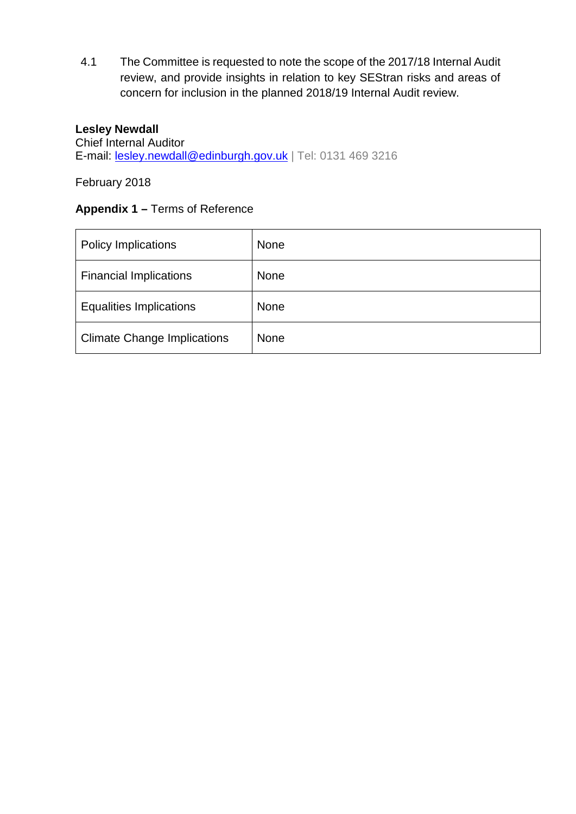4.1 The Committee is requested to note the scope of the 2017/18 Internal Audit review, and provide insights in relation to key SEStran risks and areas of concern for inclusion in the planned 2018/19 Internal Audit review.

#### **Lesley Newdall**

Chief Internal Auditor E-mail: [lesley.newdall@edinburgh.gov.uk](mailto:lesley.newdall@edinburgh.gov.uk) | Tel: 0131 469 3216

February 2018

## **Appendix 1 –** Terms of Reference

| <b>Policy Implications</b>         | <b>None</b> |
|------------------------------------|-------------|
| <b>Financial Implications</b>      | <b>None</b> |
| <b>Equalities Implications</b>     | <b>None</b> |
| <b>Climate Change Implications</b> | <b>None</b> |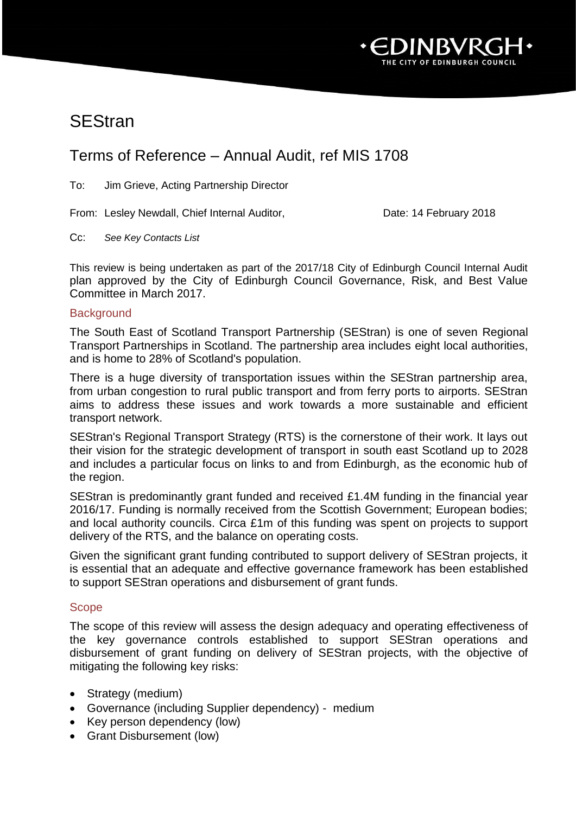

# **SEStran**

# Terms of Reference – Annual Audit, ref MIS 1708

To: Jim Grieve, Acting Partnership Director

From: Lesley Newdall, Chief Internal Auditor, Date: 14 February 2018

Cc: *See Key Contacts List*

This review is being undertaken as part of the 2017/18 City of Edinburgh Council Internal Audit plan approved by the City of Edinburgh Council Governance, Risk, and Best Value Committee in March 2017.

#### **Background**

The South East of Scotland Transport Partnership (SEStran) is one of seven Regional Transport Partnerships in Scotland. The partnership area includes eight local authorities, and is home to 28% of Scotland's population.

There is a huge diversity of transportation issues within the SEStran partnership area, from urban congestion to rural public transport and from ferry ports to airports. SEStran aims to address these issues and work towards a more sustainable and efficient transport network.

SEStran's Regional Transport Strategy (RTS) is the cornerstone of their work. It lays out their vision for the strategic development of transport in south east Scotland up to 2028 and includes a particular focus on links to and from Edinburgh, as the economic hub of the region.

SEStran is predominantly grant funded and received £1.4M funding in the financial year 2016/17. Funding is normally received from the Scottish Government; European bodies; and local authority councils. Circa £1m of this funding was spent on projects to support delivery of the RTS, and the balance on operating costs.

Given the significant grant funding contributed to support delivery of SEStran projects, it is essential that an adequate and effective governance framework has been established to support SEStran operations and disbursement of grant funds.

#### Scope

The scope of this review will assess the design adequacy and operating effectiveness of the key governance controls established to support SEStran operations and disbursement of grant funding on delivery of SEStran projects, with the objective of mitigating the following key risks:

- Strategy (medium)
- Governance (including Supplier dependency) medium
- Key person dependency (low)
- Grant Disbursement (low)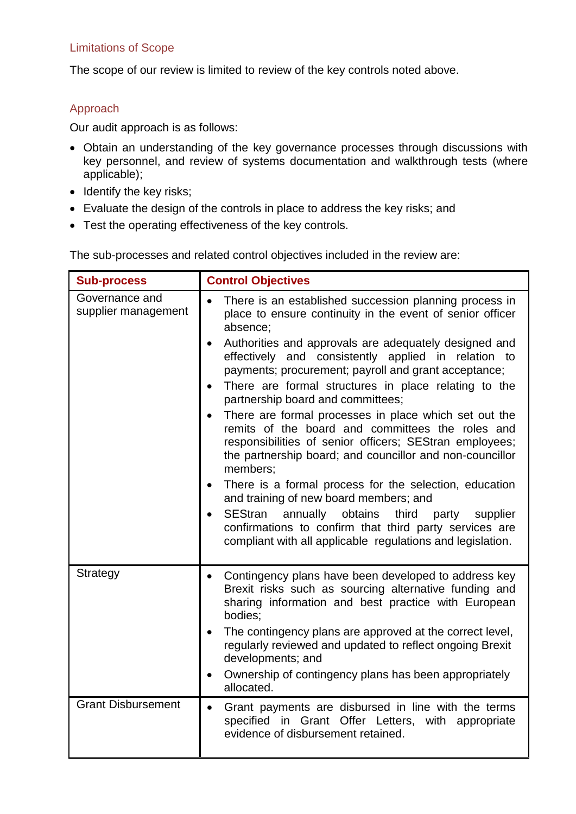#### Limitations of Scope

The scope of our review is limited to review of the key controls noted above.

### Approach

Our audit approach is as follows:

- Obtain an understanding of the key governance processes through discussions with key personnel, and review of systems documentation and walkthrough tests (where applicable);
- Identify the key risks;
- Evaluate the design of the controls in place to address the key risks; and
- Test the operating effectiveness of the key controls.

The sub-processes and related control objectives included in the review are:

| <b>Sub-process</b>                    | <b>Control Objectives</b>                                                                                                                                                                                                                                 |
|---------------------------------------|-----------------------------------------------------------------------------------------------------------------------------------------------------------------------------------------------------------------------------------------------------------|
| Governance and<br>supplier management | There is an established succession planning process in<br>$\bullet$<br>place to ensure continuity in the event of senior officer<br>absence:                                                                                                              |
|                                       | Authorities and approvals are adequately designed and<br>effectively and consistently applied in relation to<br>payments; procurement; payroll and grant acceptance;                                                                                      |
|                                       | There are formal structures in place relating to the<br>$\bullet$<br>partnership board and committees;                                                                                                                                                    |
|                                       | There are formal processes in place which set out the<br>$\bullet$<br>remits of the board and committees the roles and<br>responsibilities of senior officers; SEStran employees;<br>the partnership board; and councillor and non-councillor<br>members; |
|                                       | There is a formal process for the selection, education<br>and training of new board members; and                                                                                                                                                          |
|                                       | <b>SEStran</b><br>annually<br>obtains<br>third<br>party<br>supplier<br>$\bullet$<br>confirmations to confirm that third party services are<br>compliant with all applicable regulations and legislation.                                                  |
| <b>Strategy</b>                       | Contingency plans have been developed to address key<br>Brexit risks such as sourcing alternative funding and<br>sharing information and best practice with European<br>bodies;                                                                           |
|                                       | The contingency plans are approved at the correct level,<br>regularly reviewed and updated to reflect ongoing Brexit<br>developments; and                                                                                                                 |
|                                       | Ownership of contingency plans has been appropriately<br>allocated.                                                                                                                                                                                       |
| <b>Grant Disbursement</b>             | Grant payments are disbursed in line with the terms<br>specified in Grant Offer Letters, with appropriate<br>evidence of disbursement retained.                                                                                                           |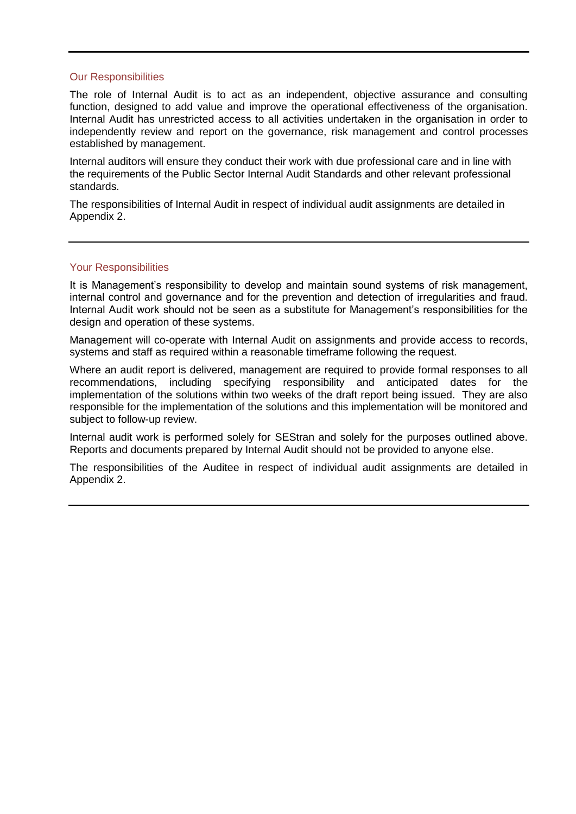#### Our Responsibilities

The role of Internal Audit is to act as an independent, objective assurance and consulting function, designed to add value and improve the operational effectiveness of the organisation. Internal Audit has unrestricted access to all activities undertaken in the organisation in order to independently review and report on the governance, risk management and control processes established by management.

Internal auditors will ensure they conduct their work with due professional care and in line with the requirements of the Public Sector Internal Audit Standards and other relevant professional standards.

The responsibilities of Internal Audit in respect of individual audit assignments are detailed in Appendix 2.

#### Your Responsibilities

It is Management's responsibility to develop and maintain sound systems of risk management, internal control and governance and for the prevention and detection of irregularities and fraud. Internal Audit work should not be seen as a substitute for Management's responsibilities for the design and operation of these systems.

Management will co-operate with Internal Audit on assignments and provide access to records, systems and staff as required within a reasonable timeframe following the request.

Where an audit report is delivered, management are required to provide formal responses to all recommendations, including specifying responsibility and anticipated dates for the implementation of the solutions within two weeks of the draft report being issued. They are also responsible for the implementation of the solutions and this implementation will be monitored and subject to follow-up review.

Internal audit work is performed solely for SEStran and solely for the purposes outlined above. Reports and documents prepared by Internal Audit should not be provided to anyone else.

The responsibilities of the Auditee in respect of individual audit assignments are detailed in Appendix 2.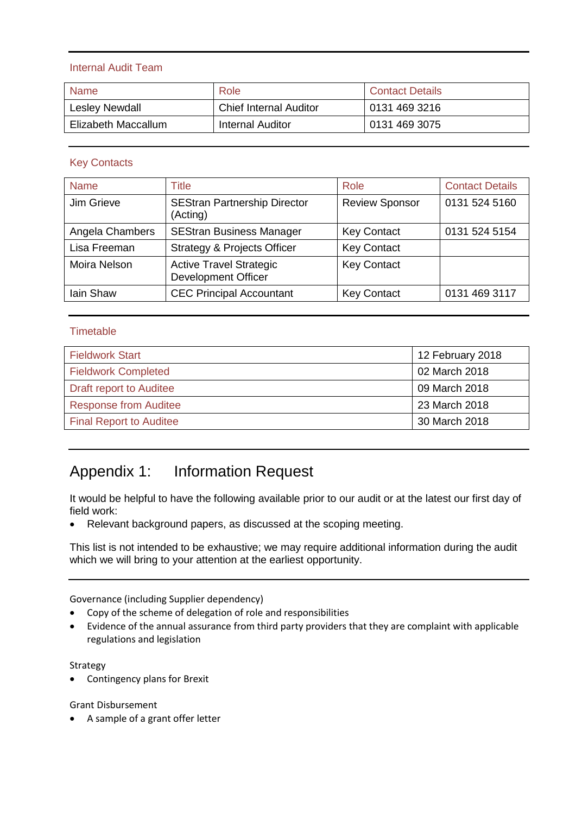#### Internal Audit Team

| <b>Name</b>         | Role                          | <b>Contact Details</b> |
|---------------------|-------------------------------|------------------------|
| Lesley Newdall      | <b>Chief Internal Auditor</b> | 0131 469 3216          |
| Elizabeth Maccallum | Internal Auditor              | 0131 469 3075          |

#### Key Contacts

| <b>Name</b>         | Title                                                        | Role                  | <b>Contact Details</b> |
|---------------------|--------------------------------------------------------------|-----------------------|------------------------|
| Jim Grieve          | <b>SEStran Partnership Director</b><br>(Acting)              | <b>Review Sponsor</b> | 0131 524 5160          |
| Angela Chambers     | <b>SEStran Business Manager</b>                              | <b>Key Contact</b>    | 0131 524 5154          |
| Lisa Freeman        | <b>Strategy &amp; Projects Officer</b>                       | <b>Key Contact</b>    |                        |
| <b>Moira Nelson</b> | <b>Active Travel Strategic</b><br><b>Development Officer</b> | <b>Key Contact</b>    |                        |
| Iain Shaw           | <b>CEC Principal Accountant</b>                              | <b>Key Contact</b>    | 0131 469 3117          |

#### **Timetable**

| <b>Fieldwork Start</b>         | 12 February 2018 |
|--------------------------------|------------------|
| <b>Fieldwork Completed</b>     | 02 March 2018    |
| <b>Draft report to Auditee</b> | 09 March 2018    |
| <b>Response from Auditee</b>   | 23 March 2018    |
| <b>Final Report to Auditee</b> | 30 March 2018    |

# Appendix 1: Information Request

It would be helpful to have the following available prior to our audit or at the latest our first day of field work:

• Relevant background papers, as discussed at the scoping meeting.

This list is not intended to be exhaustive; we may require additional information during the audit which we will bring to your attention at the earliest opportunity.

Governance (including Supplier dependency)

- Copy of the scheme of delegation of role and responsibilities
- Evidence of the annual assurance from third party providers that they are complaint with applicable regulations and legislation

Strategy

• Contingency plans for Brexit

Grant Disbursement

• A sample of a grant offer letter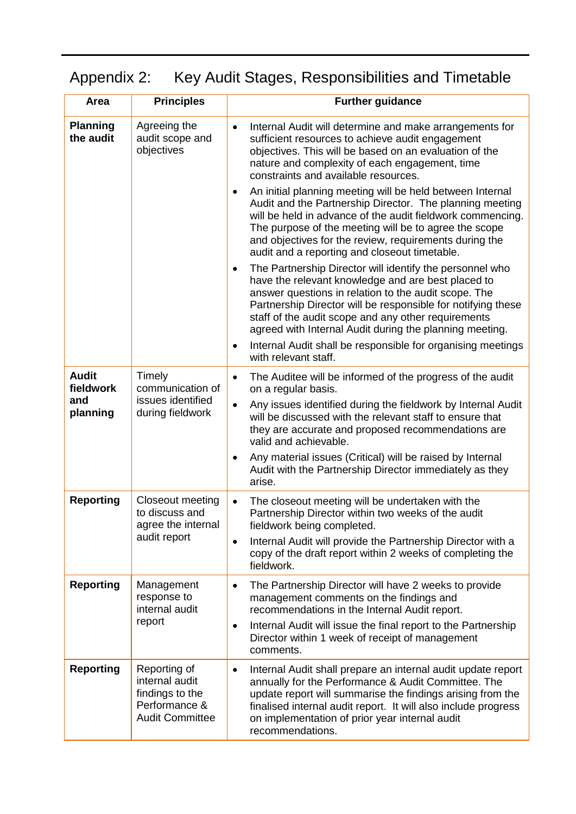# Appendix 2: Key Audit Stages, Responsibilities and Timetable

| Area                                                   | <b>Principles</b>                                                                            | <b>Further guidance</b>                                                                                                                                                                                                                                                                                                                                               |
|--------------------------------------------------------|----------------------------------------------------------------------------------------------|-----------------------------------------------------------------------------------------------------------------------------------------------------------------------------------------------------------------------------------------------------------------------------------------------------------------------------------------------------------------------|
| <b>Planning</b><br>the audit                           | Agreeing the<br>audit scope and<br>objectives                                                | $\bullet$<br>Internal Audit will determine and make arrangements for<br>sufficient resources to achieve audit engagement<br>objectives. This will be based on an evaluation of the<br>nature and complexity of each engagement, time<br>constraints and available resources.                                                                                          |
|                                                        |                                                                                              | An initial planning meeting will be held between Internal<br>$\bullet$<br>Audit and the Partnership Director. The planning meeting<br>will be held in advance of the audit fieldwork commencing.<br>The purpose of the meeting will be to agree the scope<br>and objectives for the review, requirements during the<br>audit and a reporting and closeout timetable.  |
|                                                        |                                                                                              | The Partnership Director will identify the personnel who<br>$\bullet$<br>have the relevant knowledge and are best placed to<br>answer questions in relation to the audit scope. The<br>Partnership Director will be responsible for notifying these<br>staff of the audit scope and any other requirements<br>agreed with Internal Audit during the planning meeting. |
|                                                        |                                                                                              | Internal Audit shall be responsible for organising meetings<br>$\bullet$<br>with relevant staff.                                                                                                                                                                                                                                                                      |
| <b>Audit</b><br>Timely<br>fieldwork<br>and<br>planning | communication of                                                                             | The Auditee will be informed of the progress of the audit<br>$\bullet$<br>on a regular basis.                                                                                                                                                                                                                                                                         |
|                                                        | issues identified<br>during fieldwork                                                        | Any issues identified during the fieldwork by Internal Audit<br>$\bullet$<br>will be discussed with the relevant staff to ensure that<br>they are accurate and proposed recommendations are<br>valid and achievable.                                                                                                                                                  |
|                                                        |                                                                                              | Any material issues (Critical) will be raised by Internal<br>$\bullet$<br>Audit with the Partnership Director immediately as they<br>arise.                                                                                                                                                                                                                           |
| <b>Reporting</b><br>to discuss and<br>audit report     | Closeout meeting<br>agree the internal                                                       | The closeout meeting will be undertaken with the<br>$\bullet$<br>Partnership Director within two weeks of the audit<br>fieldwork being completed.                                                                                                                                                                                                                     |
|                                                        |                                                                                              | Internal Audit will provide the Partnership Director with a<br>$\bullet$<br>copy of the draft report within 2 weeks of completing the<br>fieldwork.                                                                                                                                                                                                                   |
| <b>Reporting</b>                                       | Management<br>response to<br>internal audit                                                  | The Partnership Director will have 2 weeks to provide<br>$\bullet$<br>management comments on the findings and<br>recommendations in the Internal Audit report.                                                                                                                                                                                                        |
|                                                        | report                                                                                       | Internal Audit will issue the final report to the Partnership<br>$\bullet$<br>Director within 1 week of receipt of management<br>comments.                                                                                                                                                                                                                            |
| <b>Reporting</b>                                       | Reporting of<br>internal audit<br>findings to the<br>Performance &<br><b>Audit Committee</b> | Internal Audit shall prepare an internal audit update report<br>$\bullet$<br>annually for the Performance & Audit Committee. The<br>update report will summarise the findings arising from the<br>finalised internal audit report. It will also include progress<br>on implementation of prior year internal audit<br>recommendations.                                |